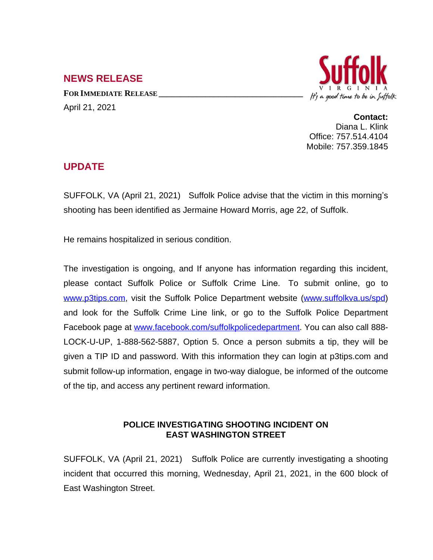## **NEWS RELEASE**

**FOR IMMEDIATE RELEASE \_\_\_\_\_\_\_\_\_\_\_\_\_\_\_\_\_\_\_\_\_\_\_\_\_\_\_\_\_\_\_\_\_\_** April 21, 2021



**Contact:** Diana L. Klink Office: 757.514.4104 Mobile: 757.359.1845

## **UPDATE**

SUFFOLK, VA (April 21, 2021) Suffolk Police advise that the victim in this morning's shooting has been identified as Jermaine Howard Morris, age 22, of Suffolk.

He remains hospitalized in serious condition.

The investigation is ongoing, and If anyone has information regarding this incident, please contact Suffolk Police or Suffolk Crime Line. To submit online, go to [www.p3tips.com](http://www.p3tips.com), visit the Suffolk Police Department website ([www.suffolkva.us/spd](http://www.suffolkva.us/spd)) and look for the Suffolk Crime Line link, or go to the Suffolk Police Department Facebook page at [www.facebook.com/suffolkpolicedepartment.](http://www.facebook.com/suffolkpolicedepartment) You can also call 888-LOCK-U-UP, 1-888-562-5887, Option 5. Once a person submits a tip, they will be given a TIP ID and password. With this information they can login at p3tips.com and submit follow-up information, engage in two-way dialogue, be informed of the outcome of the tip, and access any pertinent reward information.

## **POLICE INVESTIGATING SHOOTING INCIDENT ON EAST WASHINGTON STREET**

SUFFOLK, VA (April 21, 2021) Suffolk Police are currently investigating a shooting incident that occurred this morning, Wednesday, April 21, 2021, in the 600 block of East Washington Street.